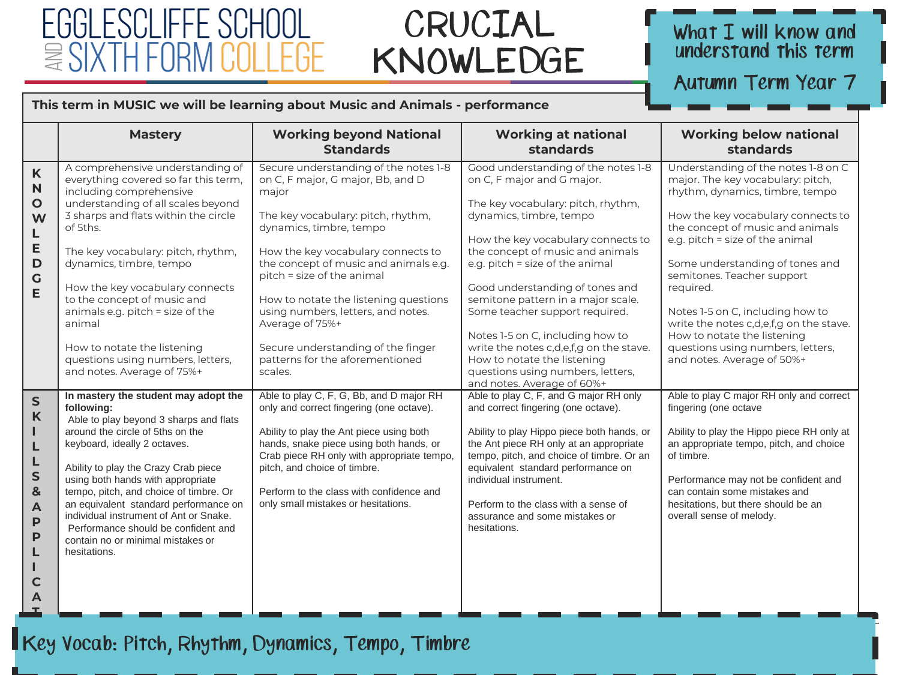### FGGI ESCI IFFE  $\cong$ SI

### CRUCIAL KNOWLEDGE

## What I will know and<br>understand this term

Autumn Term Year 7

#### **This term in MUSIC we will be learning about Music and Animals - performance**

|                                                                                               | <b>Mastery</b>                                                                                                                                                                                                                                                                                                                                                                                                                                                                   | <b>Working beyond National</b><br><b>Standards</b>                                                                                                                                                                                                                                                                                                                                                                                                      | <b>Working at national</b><br>standards                                                                                                                                                                                                                                                                                                                                                                                                                                                                                                     | <b>Working below national</b><br>standards                                                                                                                                                                                                                                                                                                                                                                                                                                              |
|-----------------------------------------------------------------------------------------------|----------------------------------------------------------------------------------------------------------------------------------------------------------------------------------------------------------------------------------------------------------------------------------------------------------------------------------------------------------------------------------------------------------------------------------------------------------------------------------|---------------------------------------------------------------------------------------------------------------------------------------------------------------------------------------------------------------------------------------------------------------------------------------------------------------------------------------------------------------------------------------------------------------------------------------------------------|---------------------------------------------------------------------------------------------------------------------------------------------------------------------------------------------------------------------------------------------------------------------------------------------------------------------------------------------------------------------------------------------------------------------------------------------------------------------------------------------------------------------------------------------|-----------------------------------------------------------------------------------------------------------------------------------------------------------------------------------------------------------------------------------------------------------------------------------------------------------------------------------------------------------------------------------------------------------------------------------------------------------------------------------------|
| $\mathsf{K}$<br>$\mathbf N$<br>O<br>W<br>L<br>E<br>$\mathbf D$<br>$\mathbf G$<br>E            | A comprehensive understanding of<br>everything covered so far this term,<br>including comprehensive<br>understanding of all scales beyond<br>3 sharps and flats within the circle<br>of 5ths.<br>The key vocabulary: pitch, rhythm,<br>dynamics, timbre, tempo<br>How the key vocabulary connects<br>to the concept of music and<br>animals e.g. pitch = size of the<br>animal<br>How to notate the listening<br>questions using numbers, letters,<br>and notes. Average of 75%+ | Secure understanding of the notes 1-8<br>on C, F major, G major, Bb, and D<br>major<br>The key vocabulary: pitch, rhythm,<br>dynamics, timbre, tempo<br>How the key vocabulary connects to<br>the concept of music and animals e.g.<br>pitch = size of the animal<br>How to notate the listening questions<br>using numbers, letters, and notes.<br>Average of 75%+<br>Secure understanding of the finger<br>patterns for the aforementioned<br>scales. | Good understanding of the notes 1-8<br>on C, F major and G major.<br>The key vocabulary: pitch, rhythm,<br>dynamics, timbre, tempo<br>How the key vocabulary connects to<br>the concept of music and animals<br>e.g. pitch = size of the animal<br>Good understanding of tones and<br>semitone pattern in a major scale.<br>Some teacher support required.<br>Notes 1-5 on C, including how to<br>write the notes c,d,e,f,g on the stave.<br>How to notate the listening<br>questions using numbers, letters,<br>and notes. Average of 60%+ | Understanding of the notes 1-8 on C<br>major. The key vocabulary: pitch,<br>rhythm, dynamics, timbre, tempo<br>How the key vocabulary connects to<br>the concept of music and animals<br>e.g. pitch = size of the animal<br>Some understanding of tones and<br>semitones. Teacher support<br>required.<br>Notes 1-5 on C, including how to<br>write the notes c,d,e,f,g on the stave.<br>How to notate the listening<br>questions using numbers, letters,<br>and notes. Average of 50%+ |
| $\sf S$<br>K<br>п<br>L<br>L<br>S<br>&<br>$\blacktriangle$<br>$\mathsf{P}$<br>P<br>L<br>C<br>A | In mastery the student may adopt the<br>following:<br>Able to play beyond 3 sharps and flats<br>around the circle of 5ths on the<br>keyboard, ideally 2 octaves.<br>Ability to play the Crazy Crab piece<br>using both hands with appropriate<br>tempo, pitch, and choice of timbre. Or<br>an equivalent standard performance on<br>individual instrument of Ant or Snake.<br>Performance should be confident and<br>contain no or minimal mistakes or<br>hesitations.           | Able to play C, F, G, Bb, and D major RH<br>only and correct fingering (one octave).<br>Ability to play the Ant piece using both<br>hands, snake piece using both hands, or<br>Crab piece RH only with appropriate tempo,<br>pitch, and choice of timbre.<br>Perform to the class with confidence and<br>only small mistakes or hesitations.                                                                                                            | Able to play C, F, and G major RH only<br>and correct fingering (one octave).<br>Ability to play Hippo piece both hands, or<br>the Ant piece RH only at an appropriate<br>tempo, pitch, and choice of timbre. Or an<br>equivalent standard performance on<br>individual instrument.<br>Perform to the class with a sense of<br>assurance and some mistakes or<br>hesitations.                                                                                                                                                               | Able to play C major RH only and correct<br>fingering (one octave<br>Ability to play the Hippo piece RH only at<br>an appropriate tempo, pitch, and choice<br>of timbre.<br>Performance may not be confident and<br>can contain some mistakes and<br>hesitations, but there should be an<br>overall sense of melody.                                                                                                                                                                    |

**O**

**T**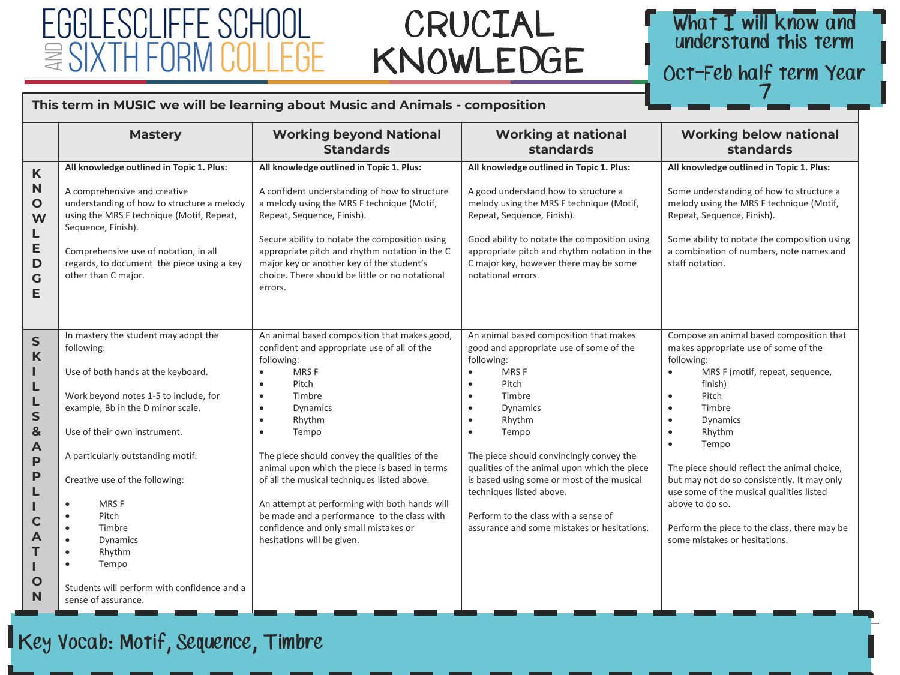### CI IEEE 言、

### CRUCIAL KNOWLEDGE

### What I will know and understand this term

Oct-Feb half term Year

#### This term in MUSIC we will be learning about Music and Animals - composition

|                                                                                                                                                         | <b>Mastery</b>                                                                                                                                                                                                                                                                                                                                                                                                                                                                               | <b>Working beyond National</b><br><b>Standards</b>                                                                                                                                                                                                                                                                                                                                                                                                                                                                                                                        | <b>Working at national</b><br>standards                                                                                                                                                                                                                                                                                                                                                                                                                                                                     | <b>Working below national</b><br>standards                                                                                                                                                                                                                                                                                                                                                                                                                                                                                 |
|---------------------------------------------------------------------------------------------------------------------------------------------------------|----------------------------------------------------------------------------------------------------------------------------------------------------------------------------------------------------------------------------------------------------------------------------------------------------------------------------------------------------------------------------------------------------------------------------------------------------------------------------------------------|---------------------------------------------------------------------------------------------------------------------------------------------------------------------------------------------------------------------------------------------------------------------------------------------------------------------------------------------------------------------------------------------------------------------------------------------------------------------------------------------------------------------------------------------------------------------------|-------------------------------------------------------------------------------------------------------------------------------------------------------------------------------------------------------------------------------------------------------------------------------------------------------------------------------------------------------------------------------------------------------------------------------------------------------------------------------------------------------------|----------------------------------------------------------------------------------------------------------------------------------------------------------------------------------------------------------------------------------------------------------------------------------------------------------------------------------------------------------------------------------------------------------------------------------------------------------------------------------------------------------------------------|
| K<br>N<br>O<br>W<br>L<br>Е<br>D<br>G<br>Е                                                                                                               | All knowledge outlined in Topic 1. Plus:<br>A comprehensive and creative<br>understanding of how to structure a melody<br>using the MRS F technique (Motif, Repeat,<br>Sequence, Finish).<br>Comprehensive use of notation, in all<br>regards, to document the piece using a key<br>other than C major.                                                                                                                                                                                      | All knowledge outlined in Topic 1. Plus:<br>A confident understanding of how to structure<br>a melody using the MRS F technique (Motif,<br>Repeat, Sequence, Finish).<br>Secure ability to notate the composition using<br>appropriate pitch and rhythm notation in the C<br>major key or another key of the student's<br>choice. There should be little or no notational<br>errors.                                                                                                                                                                                      | All knowledge outlined in Topic 1. Plus:<br>A good understand how to structure a<br>melody using the MRS F technique (Motif,<br>Repeat, Sequence, Finish).<br>Good ability to notate the composition using<br>appropriate pitch and rhythm notation in the<br>C major key, however there may be some<br>notational errors.                                                                                                                                                                                  | All knowledge outlined in Topic 1. Plus:<br>Some understanding of how to structure a<br>melody using the MRS F technique (Motif,<br>Repeat, Sequence, Finish).<br>Some ability to notate the composition using<br>a combination of numbers, note names and<br>staff notation.                                                                                                                                                                                                                                              |
| $\mathsf{S}$<br>K<br>ш<br>L<br>L<br>$\mathsf{S}$<br>$\mathbf{8}$<br>$\mathsf{A}$<br>$\mathsf{P}$<br>P<br>L<br>$\mathbf C$<br>A<br>T<br>$\mathbf O$<br>N | In mastery the student may adopt the<br>following:<br>Use of both hands at the keyboard.<br>Work beyond notes 1-5 to include, for<br>example, Bb in the D minor scale.<br>Use of their own instrument.<br>A particularly outstanding motif.<br>Creative use of the following:<br>MRS F<br>$\bullet$<br>Pitch<br>$\bullet$<br>Timbre<br>$\bullet$<br>Dynamics<br>$\bullet$<br>Rhythm<br>$\bullet$<br>Tempo<br>$\bullet$<br>Students will perform with confidence and a<br>sense of assurance. | An animal based composition that makes good,<br>confident and appropriate use of all of the<br>following:<br>MRS F<br>$\bullet$<br>Pitch<br>$\bullet$<br>Timbre<br>$\bullet$<br>Dynamics<br>$\bullet$<br>Rhythm<br>$\bullet$<br>Tempo<br>$\bullet$<br>The piece should convey the qualities of the<br>animal upon which the piece is based in terms<br>of all the musical techniques listed above.<br>An attempt at performing with both hands will<br>be made and a performance to the class with<br>confidence and only small mistakes or<br>hesitations will be given. | An animal based composition that makes<br>good and appropriate use of some of the<br>following:<br><b>MRSF</b><br>$\bullet$<br>Pitch<br>$\bullet$<br>Timbre<br>$\bullet$<br>Dynamics<br>$\bullet$<br>Rhythm<br>$\bullet$<br>Tempo<br>$\bullet$<br>The piece should convincingly convey the<br>qualities of the animal upon which the piece<br>is based using some or most of the musical<br>techniques listed above.<br>Perform to the class with a sense of<br>assurance and some mistakes or hesitations. | Compose an animal based composition that<br>makes appropriate use of some of the<br>following:<br>MRS F (motif, repeat, sequence,<br>$\bullet$<br>finish)<br>Pitch<br>$\bullet$<br>Timbre<br>$\bullet$<br>Dynamics<br>$\bullet$<br>Rhythm<br>$\bullet$<br>Tempo<br>$\bullet$<br>The piece should reflect the animal choice,<br>but may not do so consistently. It may only<br>use some of the musical qualities listed<br>above to do so.<br>Perform the piece to the class, there may be<br>some mistakes or hesitations. |

### Key Vocab: Motif, Sequence, Timbre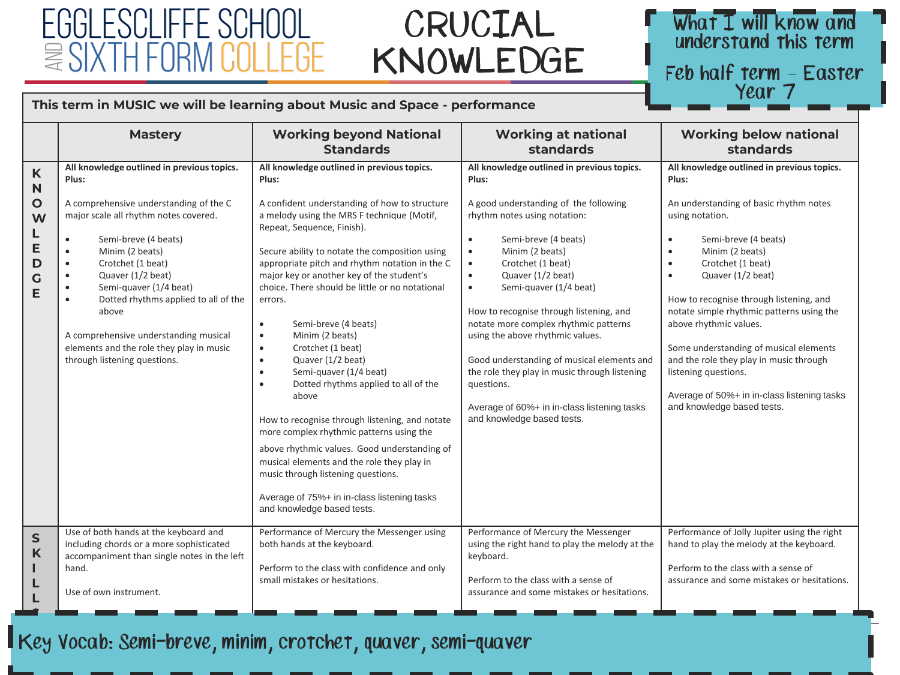### FGGI ESCI IFFF  $\Xi$ SI

### CRUCIAL KNOWLEDGE

### What I will know and understand this term

Feb half term – Easter<br>Year 7

hello@egglescliffe.org.uk

*© Egglescliffe School and Sixth Form College*

#### **This term in MUSIC we will be learning about Music and Space - performance**

|                                           | <b>Mastery</b>                                                                                                                                                                                                                                                                                                                                                                                                                                                                                            | <b>Working beyond National</b><br><b>Standards</b>                                                                                                                                                                                                                                                                                                                                                                                                                                                                                                                                                                                                                                                                                                                                                                                                                                                                                                           | <b>Working at national</b><br>standards                                                                                                                                                                                                                                                                                                                                                                                                                                                                                                                                                                                        | <b>Working below national</b><br>standards                                                                                                                                                                                                                                                                                                                                                                                                                                                                                                                            |
|-------------------------------------------|-----------------------------------------------------------------------------------------------------------------------------------------------------------------------------------------------------------------------------------------------------------------------------------------------------------------------------------------------------------------------------------------------------------------------------------------------------------------------------------------------------------|--------------------------------------------------------------------------------------------------------------------------------------------------------------------------------------------------------------------------------------------------------------------------------------------------------------------------------------------------------------------------------------------------------------------------------------------------------------------------------------------------------------------------------------------------------------------------------------------------------------------------------------------------------------------------------------------------------------------------------------------------------------------------------------------------------------------------------------------------------------------------------------------------------------------------------------------------------------|--------------------------------------------------------------------------------------------------------------------------------------------------------------------------------------------------------------------------------------------------------------------------------------------------------------------------------------------------------------------------------------------------------------------------------------------------------------------------------------------------------------------------------------------------------------------------------------------------------------------------------|-----------------------------------------------------------------------------------------------------------------------------------------------------------------------------------------------------------------------------------------------------------------------------------------------------------------------------------------------------------------------------------------------------------------------------------------------------------------------------------------------------------------------------------------------------------------------|
| K<br>N<br>O<br>W<br>L<br>E<br>D<br>G<br>E | All knowledge outlined in previous topics.<br>Plus:<br>A comprehensive understanding of the C<br>major scale all rhythm notes covered.<br>Semi-breve (4 beats)<br>$\bullet$<br>Minim (2 beats)<br>$\bullet$<br>Crotchet (1 beat)<br>$\bullet$<br>Quaver (1/2 beat)<br>$\bullet$<br>Semi-quaver (1/4 beat)<br>$\bullet$<br>Dotted rhythms applied to all of the<br>$\bullet$<br>above<br>A comprehensive understanding musical<br>elements and the role they play in music<br>through listening questions. | All knowledge outlined in previous topics.<br>Plus:<br>A confident understanding of how to structure<br>a melody using the MRS F technique (Motif,<br>Repeat, Sequence, Finish).<br>Secure ability to notate the composition using<br>appropriate pitch and rhythm notation in the C<br>major key or another key of the student's<br>choice. There should be little or no notational<br>errors.<br>Semi-breve (4 beats)<br>$\bullet$<br>Minim (2 beats)<br>$\bullet$<br>Crotchet (1 beat)<br>$\bullet$<br>Quaver (1/2 beat)<br>$\bullet$<br>Semi-quaver (1/4 beat)<br>$\bullet$<br>Dotted rhythms applied to all of the<br>$\bullet$<br>above<br>How to recognise through listening, and notate<br>more complex rhythmic patterns using the<br>above rhythmic values. Good understanding of<br>musical elements and the role they play in<br>music through listening questions.<br>Average of 75%+ in in-class listening tasks<br>and knowledge based tests. | All knowledge outlined in previous topics.<br>Plus:<br>A good understanding of the following<br>rhythm notes using notation:<br>Semi-breve (4 beats)<br>$\bullet$<br>Minim (2 beats)<br>$\bullet$<br>Crotchet (1 beat)<br>$\bullet$<br>Quaver (1/2 beat)<br>$\bullet$<br>Semi-quaver (1/4 beat)<br>$\bullet$<br>How to recognise through listening, and<br>notate more complex rhythmic patterns<br>using the above rhythmic values.<br>Good understanding of musical elements and<br>the role they play in music through listening<br>questions.<br>Average of 60%+ in in-class listening tasks<br>and knowledge based tests. | All knowledge outlined in previous topics.<br>Plus:<br>An understanding of basic rhythm notes<br>using notation.<br>Semi-breve (4 beats)<br>$\bullet$<br>Minim (2 beats)<br>$\bullet$<br>Crotchet (1 beat)<br>$\bullet$<br>Quaver (1/2 beat)<br>$\bullet$<br>How to recognise through listening, and<br>notate simple rhythmic patterns using the<br>above rhythmic values.<br>Some understanding of musical elements<br>and the role they play in music through<br>listening questions.<br>Average of 50%+ in in-class listening tasks<br>and knowledge based tests. |
| $\mathsf{S}$<br>K<br>L                    | Use of both hands at the keyboard and<br>including chords or a more sophisticated<br>accompaniment than single notes in the left<br>hand.<br>Use of own instrument.                                                                                                                                                                                                                                                                                                                                       | Performance of Mercury the Messenger using<br>both hands at the keyboard.<br>Perform to the class with confidence and only<br>small mistakes or hesitations.                                                                                                                                                                                                                                                                                                                                                                                                                                                                                                                                                                                                                                                                                                                                                                                                 | Performance of Mercury the Messenger<br>using the right hand to play the melody at the<br>keyboard.<br>Perform to the class with a sense of<br>assurance and some mistakes or hesitations.                                                                                                                                                                                                                                                                                                                                                                                                                                     | Performance of Jolly Jupiter using the right<br>hand to play the melody at the keyboard.<br>Perform to the class with a sense of<br>assurance and some mistakes or hesitations.                                                                                                                                                                                                                                                                                                                                                                                       |

 $\boldsymbol{\varrho}$ 

**S** 

**P**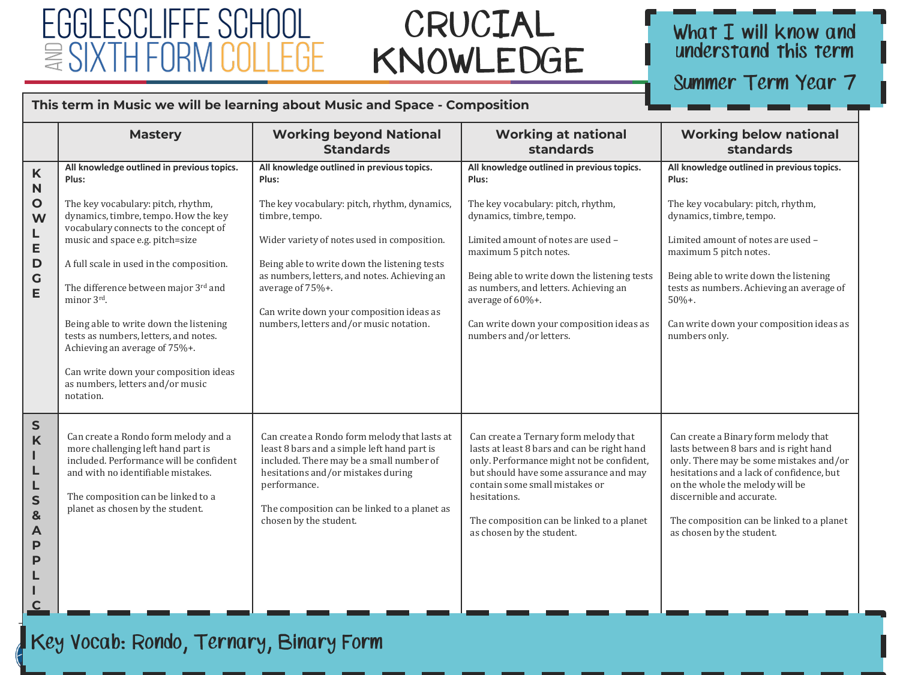### FGGI ESCI IFFE SCHOOL  $\cong$  SIXTH

### CRUCIAL KNOWLEDGE

### What I will know and<br>understand this term

Summer Term Year 7

#### **This term in Music we will be learning about Music and Space - Composition**

|                                                                                             | <b>Mastery</b>                                                                                                                                                                                                                                                                                                                                                                                                                                                                                                                | <b>Working beyond National</b><br><b>Standards</b>                                                                                                                                                                                                                                                                                                                              | <b>Working at national</b><br>standards                                                                                                                                                                                                                                                                                                                                   | <b>Working below national</b><br>standards                                                                                                                                                                                                                                                                                                            |
|---------------------------------------------------------------------------------------------|-------------------------------------------------------------------------------------------------------------------------------------------------------------------------------------------------------------------------------------------------------------------------------------------------------------------------------------------------------------------------------------------------------------------------------------------------------------------------------------------------------------------------------|---------------------------------------------------------------------------------------------------------------------------------------------------------------------------------------------------------------------------------------------------------------------------------------------------------------------------------------------------------------------------------|---------------------------------------------------------------------------------------------------------------------------------------------------------------------------------------------------------------------------------------------------------------------------------------------------------------------------------------------------------------------------|-------------------------------------------------------------------------------------------------------------------------------------------------------------------------------------------------------------------------------------------------------------------------------------------------------------------------------------------------------|
| $\boldsymbol{\mathsf{K}}$<br>N<br>$\circ$<br>W<br>L<br>E<br>$\mathbf D$<br>$\mathsf C$<br>E | All knowledge outlined in previous topics.<br>Plus:<br>The key vocabulary: pitch, rhythm,<br>dynamics, timbre, tempo. How the key<br>vocabulary connects to the concept of<br>music and space e.g. pitch=size<br>A full scale in used in the composition.<br>The difference between major 3rd and<br>minor 3rd.<br>Being able to write down the listening<br>tests as numbers, letters, and notes.<br>Achieving an average of 75%+.<br>Can write down your composition ideas<br>as numbers, letters and/or music<br>notation. | All knowledge outlined in previous topics.<br>Plus:<br>The key vocabulary: pitch, rhythm, dynamics,<br>timbre, tempo.<br>Wider variety of notes used in composition.<br>Being able to write down the listening tests<br>as numbers, letters, and notes. Achieving an<br>average of 75%+.<br>Can write down your composition ideas as<br>numbers, letters and/or music notation. | All knowledge outlined in previous topics.<br>Plus:<br>The key vocabulary: pitch, rhythm,<br>dynamics, timbre, tempo.<br>Limited amount of notes are used -<br>maximum 5 pitch notes.<br>Being able to write down the listening tests<br>as numbers, and letters. Achieving an<br>average of 60%+.<br>Can write down your composition ideas as<br>numbers and/or letters. | All knowledge outlined in previous topics.<br>Plus:<br>The key vocabulary: pitch, rhythm,<br>dynamics, timbre, tempo.<br>Limited amount of notes are used -<br>maximum 5 pitch notes.<br>Being able to write down the listening<br>tests as numbers. Achieving an average of<br>$50%+$ .<br>Can write down your composition ideas as<br>numbers only. |
| ${\sf S}$<br>K<br>п<br>L<br>L<br>$\mathsf{s}$<br>&<br>A<br>P<br>P                           | Can create a Rondo form melody and a<br>more challenging left hand part is<br>included. Performance will be confident<br>and with no identifiable mistakes.<br>The composition can be linked to a<br>planet as chosen by the student.                                                                                                                                                                                                                                                                                         | Can create a Rondo form melody that lasts at<br>least 8 bars and a simple left hand part is<br>included. There may be a small number of<br>hesitations and/or mistakes during<br>performance.<br>The composition can be linked to a planet as<br>chosen by the student.                                                                                                         | Can create a Ternary form melody that<br>lasts at least 8 bars and can be right hand<br>only. Performance might not be confident,<br>but should have some assurance and may<br>contain some small mistakes or<br>hesitations.<br>The composition can be linked to a planet<br>as chosen by the student.                                                                   | Can create a Binary form melody that<br>lasts between 8 bars and is right hand<br>only. There may be some mistakes and/or<br>hesitations and a lack of confidence, but<br>on the whole the melody will be<br>discernible and accurate.<br>The composition can be linked to a planet<br>as chosen by the student.                                      |

**T I**

**A**

**O**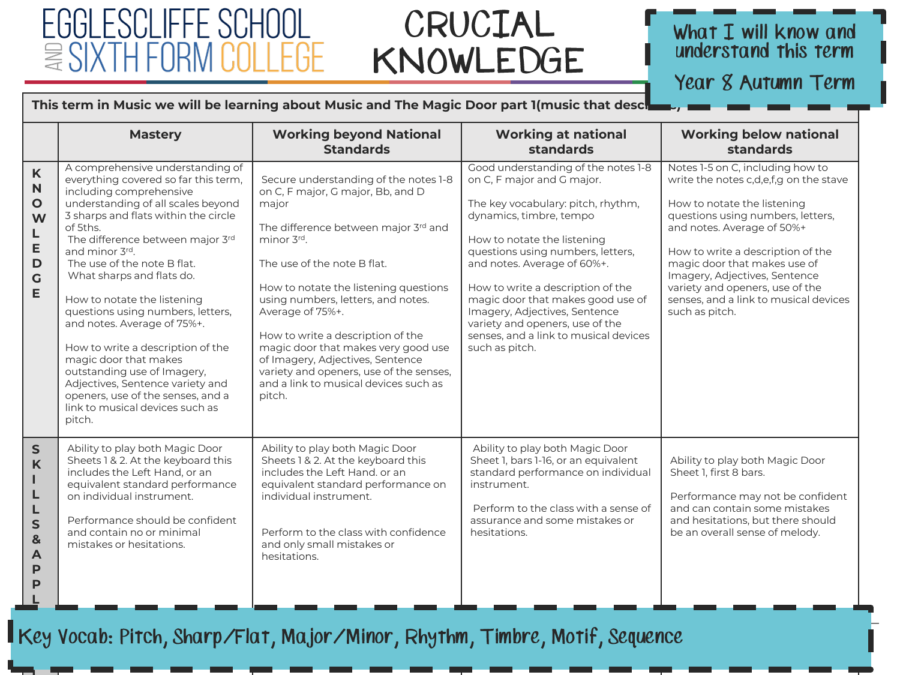### FGGI ESCI IFFF ≌`

**I**

**I**

### CRUCIAL KNOWLEDGE

#### What  $I$  will know and understand this term

Year 8 Autumn Term

#### This term in Music we will be learning about Music and The Magic Door part 1(music that desc<sup>1</sup>

|                                                                           | <b>Mastery</b>                                                                                                                                                                                                                                                                                                                                                                                                                                                                                                                                                                                                                        | <b>Working beyond National</b><br><b>Standards</b>                                                                                                                                                                                                                                                                                                                                                                                                                                        | <b>Working at national</b><br>standards                                                                                                                                                                                                                                                                                                                                                                                                        | <b>Working below national</b><br>standards                                                                                                                                                                                                                                                                                                                                       |
|---------------------------------------------------------------------------|---------------------------------------------------------------------------------------------------------------------------------------------------------------------------------------------------------------------------------------------------------------------------------------------------------------------------------------------------------------------------------------------------------------------------------------------------------------------------------------------------------------------------------------------------------------------------------------------------------------------------------------|-------------------------------------------------------------------------------------------------------------------------------------------------------------------------------------------------------------------------------------------------------------------------------------------------------------------------------------------------------------------------------------------------------------------------------------------------------------------------------------------|------------------------------------------------------------------------------------------------------------------------------------------------------------------------------------------------------------------------------------------------------------------------------------------------------------------------------------------------------------------------------------------------------------------------------------------------|----------------------------------------------------------------------------------------------------------------------------------------------------------------------------------------------------------------------------------------------------------------------------------------------------------------------------------------------------------------------------------|
| $\mathsf{K}$<br>N<br>$\mathbf{o}$<br>W<br>L<br>E<br>D<br>$\mathbf G$<br>E | A comprehensive understanding of<br>everything covered so far this term,<br>including comprehensive<br>understanding of all scales beyond<br>3 sharps and flats within the circle<br>of 5ths.<br>The difference between major 3rd<br>and minor 3rd.<br>The use of the note B flat.<br>What sharps and flats do.<br>How to notate the listening<br>questions using numbers, letters,<br>and notes. Average of 75%+.<br>How to write a description of the<br>magic door that makes<br>outstanding use of Imagery,<br>Adjectives, Sentence variety and<br>openers, use of the senses, and a<br>link to musical devices such as<br>pitch. | Secure understanding of the notes 1-8<br>on C, F major, G major, Bb, and D<br>major<br>The difference between major 3rd and<br>minor 3rd.<br>The use of the note B flat.<br>How to notate the listening questions<br>using numbers, letters, and notes.<br>Average of 75%+.<br>How to write a description of the<br>magic door that makes very good use<br>of Imagery, Adjectives, Sentence<br>variety and openers, use of the senses.<br>and a link to musical devices such as<br>pitch. | Good understanding of the notes 1-8<br>on C, F major and G major.<br>The key vocabulary: pitch, rhythm,<br>dynamics, timbre, tempo<br>How to notate the listening<br>questions using numbers, letters,<br>and notes. Average of 60%+.<br>How to write a description of the<br>magic door that makes good use of<br>Imagery, Adjectives, Sentence<br>variety and openers, use of the<br>senses, and a link to musical devices<br>such as pitch. | Notes 1-5 on C, including how to<br>write the notes c,d,e,f,g on the stave<br>How to notate the listening<br>questions using numbers, letters,<br>and notes. Average of 50%+<br>How to write a description of the<br>magic door that makes use of<br>Imagery, Adjectives, Sentence<br>variety and openers, use of the<br>senses, and a link to musical devices<br>such as pitch. |
| ${\sf S}$<br>K<br>п<br>L<br>L<br>S<br>&<br>A<br>P<br>P                    | Ability to play both Magic Door<br>Sheets 1 & 2. At the keyboard this<br>includes the Left Hand, or an<br>equivalent standard performance<br>on individual instrument.<br>Performance should be confident<br>and contain no or minimal<br>mistakes or hesitations.                                                                                                                                                                                                                                                                                                                                                                    | Ability to play both Magic Door<br>Sheets 1 & 2. At the keyboard this<br>includes the Left Hand, or an<br>equivalent standard performance on<br>individual instrument.<br>Perform to the class with confidence<br>and only small mistakes or<br>hesitations.                                                                                                                                                                                                                              | Ability to play both Magic Door<br>Sheet 1, bars 1-16, or an equivalent<br>standard performance on individual<br>instrument.<br>Perform to the class with a sense of<br>assurance and some mistakes or<br>hesitations.                                                                                                                                                                                                                         | Ability to play both Magic Door<br>Sheet 1, first 8 bars.<br>Performance may not be confident<br>and can contain some mistakes<br>and hesitations, but there should<br>be an overall sense of melody.                                                                                                                                                                            |

hello@egglescliffe.org.uk  $\alpha$  $\lambda$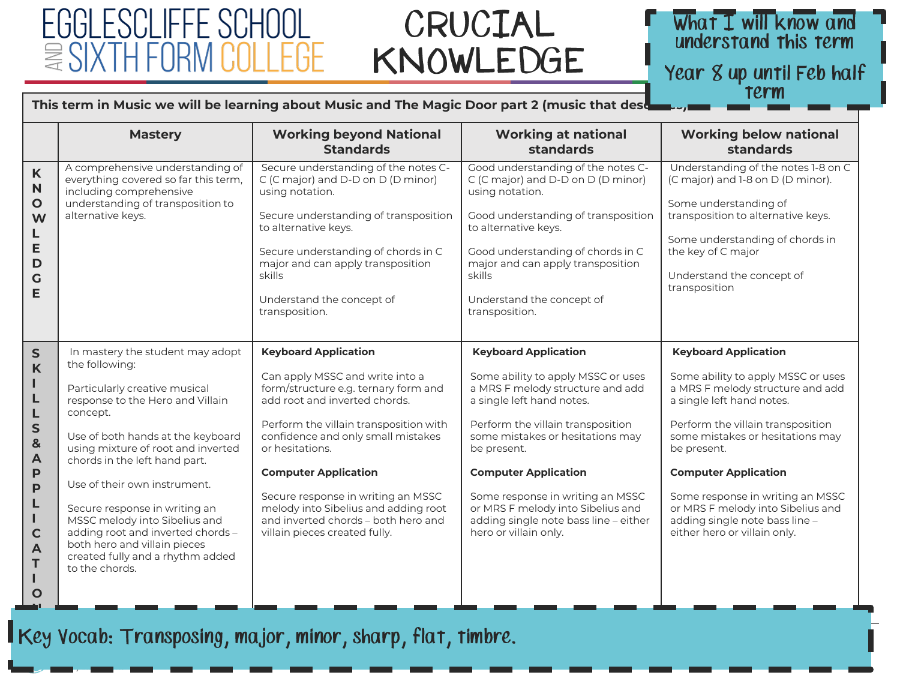### FGGI ESCI IFFF ≌`

### CRUCIAL KNOWLEDGE

### What I will know and understand this term Year 8 up until Feb half term

hello@egglescliffe.org.uk

#### This term in Music we will be learning about Music and The Magic Door part 2 (music that deso

|                                                                                                                                                                 | <b>Mastery</b>                                                                                                                                                                                                                                                                                                                                                                                                                                                               | <b>Working beyond National</b><br><b>Standards</b>                                                                                                                                                                                                                                                                                                                                                                              | <b>Working at national</b><br>standards                                                                                                                                                                                                                                                                                                                                                              | <b>Working below national</b><br>standards                                                                                                                                                                                                                                                                                                                                                           |
|-----------------------------------------------------------------------------------------------------------------------------------------------------------------|------------------------------------------------------------------------------------------------------------------------------------------------------------------------------------------------------------------------------------------------------------------------------------------------------------------------------------------------------------------------------------------------------------------------------------------------------------------------------|---------------------------------------------------------------------------------------------------------------------------------------------------------------------------------------------------------------------------------------------------------------------------------------------------------------------------------------------------------------------------------------------------------------------------------|------------------------------------------------------------------------------------------------------------------------------------------------------------------------------------------------------------------------------------------------------------------------------------------------------------------------------------------------------------------------------------------------------|------------------------------------------------------------------------------------------------------------------------------------------------------------------------------------------------------------------------------------------------------------------------------------------------------------------------------------------------------------------------------------------------------|
| K<br>$\mathbf N$<br>$\mathbf{o}$<br>W<br>L<br>E<br>D<br>G<br>E                                                                                                  | A comprehensive understanding of<br>everything covered so far this term,<br>including comprehensive<br>understanding of transposition to<br>alternative keys.                                                                                                                                                                                                                                                                                                                | Secure understanding of the notes C-<br>C (C major) and D-D on D (D minor)<br>using notation.<br>Secure understanding of transposition<br>to alternative keys.<br>Secure understanding of chords in C<br>major and can apply transposition<br>skills<br>Understand the concept of<br>transposition.                                                                                                                             | Good understanding of the notes C-<br>C (C major) and D-D on D (D minor)<br>using notation.<br>Good understanding of transposition<br>to alternative keys.<br>Good understanding of chords in C<br>major and can apply transposition<br>skills<br>Understand the concept of<br>transposition.                                                                                                        | Understanding of the notes 1-8 on C<br>(C major) and 1-8 on D (D minor).<br>Some understanding of<br>transposition to alternative keys.<br>Some understanding of chords in<br>the key of C major<br>Understand the concept of<br>transposition                                                                                                                                                       |
| $\mathsf{s}$<br>$\mathbf K$<br>ш<br>L<br>L<br>$\mathsf{s}$<br>$\mathbf{8}$<br>$\blacktriangle$<br>P<br>P<br>L<br>L<br>$\mathbf C$<br>$\blacktriangle$<br>T<br>O | In mastery the student may adopt<br>the following:<br>Particularly creative musical<br>response to the Hero and Villain<br>concept.<br>Use of both hands at the keyboard<br>using mixture of root and inverted<br>chords in the left hand part.<br>Use of their own instrument.<br>Secure response in writing an<br>MSSC melody into Sibelius and<br>adding root and inverted chords -<br>both hero and villain pieces<br>created fully and a rhythm added<br>to the chords. | <b>Keyboard Application</b><br>Can apply MSSC and write into a<br>form/structure e.g. ternary form and<br>add root and inverted chords.<br>Perform the villain transposition with<br>confidence and only small mistakes<br>or hesitations.<br><b>Computer Application</b><br>Secure response in writing an MSSC<br>melody into Sibelius and adding root<br>and inverted chords - both hero and<br>villain pieces created fully. | <b>Keyboard Application</b><br>Some ability to apply MSSC or uses<br>a MRS F melody structure and add<br>a single left hand notes.<br>Perform the villain transposition<br>some mistakes or hesitations may<br>be present.<br><b>Computer Application</b><br>Some response in writing an MSSC<br>or MRS F melody into Sibelius and<br>adding single note bass line - either<br>hero or villain only. | <b>Keyboard Application</b><br>Some ability to apply MSSC or uses<br>a MRS F melody structure and add<br>a single left hand notes.<br>Perform the villain transposition<br>some mistakes or hesitations may<br>be present.<br><b>Computer Application</b><br>Some response in writing an MSSC<br>or MRS F melody into Sibelius and<br>adding single note bass line -<br>either hero or villain only. |

Key Vocab: Transposing, major, minor, sharp, flat, timbre.

**N**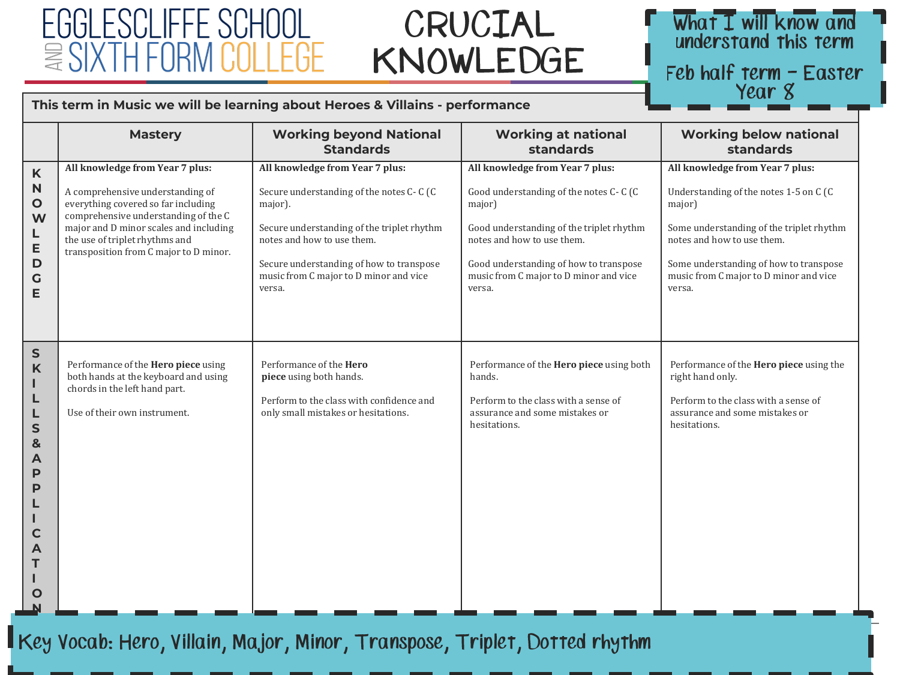### CRUCIAL KNOWLEDGE

### What I will know and understand this term

Feb half term - Easter Year 8

hello@egglescliffe.org.uk

#### **This term in Music we will be learning about Heroes & Villains - performance**

|                                                                                     | <b>Mastery</b>                                                                                                                                                                                                                                                           | <b>Working beyond National</b><br><b>Standards</b>                                                                                                                                                                                                                 | <b>Working at national</b><br>standards                                                                                                                                                                                                                     | <b>Working below national</b><br>standards                                                                                                                                                                                                                  |
|-------------------------------------------------------------------------------------|--------------------------------------------------------------------------------------------------------------------------------------------------------------------------------------------------------------------------------------------------------------------------|--------------------------------------------------------------------------------------------------------------------------------------------------------------------------------------------------------------------------------------------------------------------|-------------------------------------------------------------------------------------------------------------------------------------------------------------------------------------------------------------------------------------------------------------|-------------------------------------------------------------------------------------------------------------------------------------------------------------------------------------------------------------------------------------------------------------|
| K<br>N<br>$\mathbf{o}$<br>W<br>L<br>E<br>D<br>$\mathbf C$<br>Е                      | All knowledge from Year 7 plus:<br>A comprehensive understanding of<br>everything covered so far including<br>comprehensive understanding of the C<br>major and D minor scales and including<br>the use of triplet rhythms and<br>transposition from C major to D minor. | All knowledge from Year 7 plus:<br>Secure understanding of the notes C-C (C<br>major).<br>Secure understanding of the triplet rhythm<br>notes and how to use them.<br>Secure understanding of how to transpose<br>music from C major to D minor and vice<br>versa. | All knowledge from Year 7 plus:<br>Good understanding of the notes C-C (C<br>major)<br>Good understanding of the triplet rhythm<br>notes and how to use them.<br>Good understanding of how to transpose<br>music from C major to D minor and vice<br>versa. | All knowledge from Year 7 plus:<br>Understanding of the notes 1-5 on C (C<br>major)<br>Some understanding of the triplet rhythm<br>notes and how to use them.<br>Some understanding of how to transpose<br>music from C major to D minor and vice<br>versa. |
| $\mathsf{s}$<br>K<br>L<br>L<br>L<br>$\mathsf{s}$<br>&<br>А<br>P<br>P<br>C<br>L<br>O | Performance of the <b>Hero piece</b> using<br>both hands at the keyboard and using<br>chords in the left hand part.<br>Use of their own instrument.                                                                                                                      | Performance of the <b>Hero</b><br>piece using both hands.<br>Perform to the class with confidence and<br>only small mistakes or hesitations.                                                                                                                       | Performance of the Hero piece using both<br>hands.<br>Perform to the class with a sense of<br>assurance and some mistakes or<br>hesitations.                                                                                                                | Performance of the <b>Hero piece</b> using the<br>right hand only.<br>Perform to the class with a sense of<br>assurance and some mistakes or<br>hesitations.                                                                                                |

Key Vocab: Hero, Villain, Major, Minor, Transpose, Triplet, Dotted rhythm *© Egglescliffe School and Sixth Form College*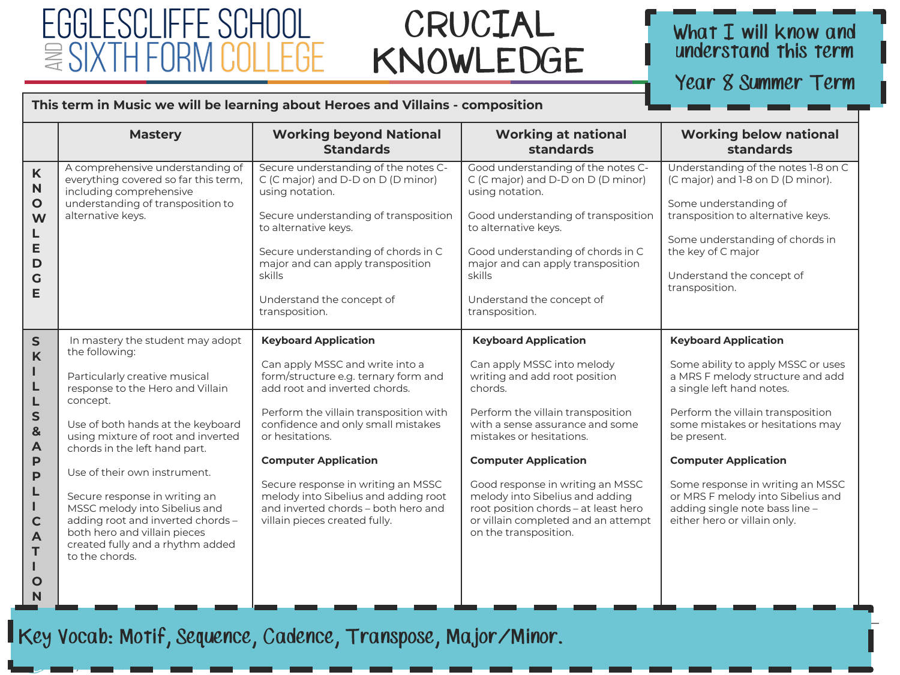# FGGI ESCLIFFE

### CRUCIAL KNOWLEDGE

### What I will know and<br>understand this term

Year 8 Summer Term

#### This term in Music we will be learning about Heroes and Villains - composition

|                                                                                                                                           | <b>Mastery</b>                                                                                                                                                                                                                                                                                                                                                                                                                                                               | <b>Working beyond National</b><br><b>Standards</b>                                                                                                                                                                                                                                                                                                                                                                              | <b>Working at national</b><br>standards                                                                                                                                                                                                                                                                                                                                                                                 | <b>Working below national</b><br>standards                                                                                                                                                                                                                                                                                                                                                           |
|-------------------------------------------------------------------------------------------------------------------------------------------|------------------------------------------------------------------------------------------------------------------------------------------------------------------------------------------------------------------------------------------------------------------------------------------------------------------------------------------------------------------------------------------------------------------------------------------------------------------------------|---------------------------------------------------------------------------------------------------------------------------------------------------------------------------------------------------------------------------------------------------------------------------------------------------------------------------------------------------------------------------------------------------------------------------------|-------------------------------------------------------------------------------------------------------------------------------------------------------------------------------------------------------------------------------------------------------------------------------------------------------------------------------------------------------------------------------------------------------------------------|------------------------------------------------------------------------------------------------------------------------------------------------------------------------------------------------------------------------------------------------------------------------------------------------------------------------------------------------------------------------------------------------------|
| K<br>N<br>$\mathbf O$<br>W<br>E<br>D<br>G<br>Е                                                                                            | A comprehensive understanding of<br>everything covered so far this term,<br>including comprehensive<br>understanding of transposition to<br>alternative keys.                                                                                                                                                                                                                                                                                                                | Secure understanding of the notes C-<br>C (C major) and D-D on D (D minor)<br>using notation.<br>Secure understanding of transposition<br>to alternative keys.<br>Secure understanding of chords in C<br>major and can apply transposition<br>skills<br>Understand the concept of<br>transposition.                                                                                                                             | Good understanding of the notes C-<br>C (C major) and D-D on D (D minor)<br>using notation.<br>Good understanding of transposition<br>to alternative keys.<br>Good understanding of chords in C<br>major and can apply transposition<br>skills<br>Understand the concept of<br>transposition.                                                                                                                           | Understanding of the notes 1-8 on C<br>(C major) and 1-8 on D (D minor).<br>Some understanding of<br>transposition to alternative keys.<br>Some understanding of chords in<br>the key of C major<br>Understand the concept of<br>transposition.                                                                                                                                                      |
| $\mathsf{s}$<br>K<br>L<br>L<br>S<br>&<br>$\overline{A}$<br>P<br>P<br>L<br>Ш<br>$\mathbf C$<br>$\overline{\mathsf{A}}$<br>T<br>$\mathbf O$ | In mastery the student may adopt<br>the following:<br>Particularly creative musical<br>response to the Hero and Villain<br>concept.<br>Use of both hands at the keyboard<br>using mixture of root and inverted<br>chords in the left hand part.<br>Use of their own instrument.<br>Secure response in writing an<br>MSSC melody into Sibelius and<br>adding root and inverted chords -<br>both hero and villain pieces<br>created fully and a rhythm added<br>to the chords. | <b>Keyboard Application</b><br>Can apply MSSC and write into a<br>form/structure e.g. ternary form and<br>add root and inverted chords.<br>Perform the villain transposition with<br>confidence and only small mistakes<br>or hesitations.<br><b>Computer Application</b><br>Secure response in writing an MSSC<br>melody into Sibelius and adding root<br>and inverted chords - both hero and<br>villain pieces created fully. | <b>Keyboard Application</b><br>Can apply MSSC into melody<br>writing and add root position<br>chords.<br>Perform the villain transposition<br>with a sense assurance and some<br>mistakes or hesitations.<br><b>Computer Application</b><br>Good response in writing an MSSC<br>melody into Sibelius and adding<br>root position chords - at least hero<br>or villain completed and an attempt<br>on the transposition. | <b>Keyboard Application</b><br>Some ability to apply MSSC or uses<br>a MRS F melody structure and add<br>a single left hand notes.<br>Perform the villain transposition<br>some mistakes or hesitations may<br>be present.<br><b>Computer Application</b><br>Some response in writing an MSSC<br>or MRS F melody into Sibelius and<br>adding single note bass line -<br>either hero or villain only. |

Key Vocab: Motif, Sequence, Cadence, Transpose, Major/Minor.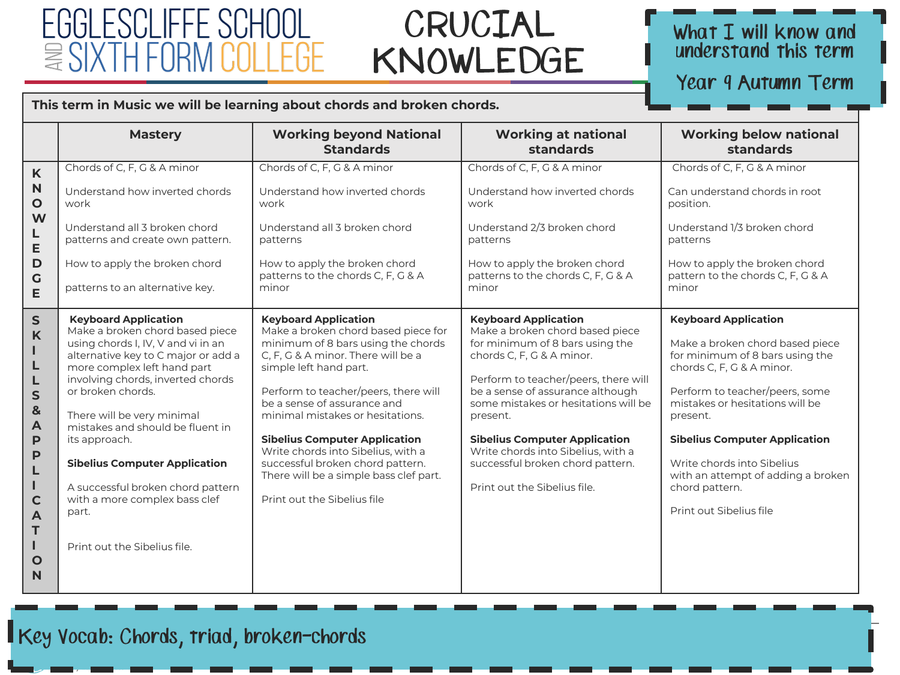### FGGI FSCI IFFF SCHOOL  $\approx$  SIXTH

### CRUCIAL KNOWLEDGE

### What I will know and<br>understand this term

Year 9 Autumn Term

#### This term in Music we will be learning about chords and broken chords.

|                                                                                                                                                                   | <b>Mastery</b>                                                                                                                                                                                                                                                                                                                                                                                                                                                                 | <b>Working beyond National</b><br><b>Standards</b>                                                                                                                                                                                                                                                                                                                                                                                                                             | <b>Working at national</b><br>standards                                                                                                                                                                                                                                                                                                                                                                          | <b>Working below national</b><br>standards                                                                                                                                                                                                                                                                                                                               |
|-------------------------------------------------------------------------------------------------------------------------------------------------------------------|--------------------------------------------------------------------------------------------------------------------------------------------------------------------------------------------------------------------------------------------------------------------------------------------------------------------------------------------------------------------------------------------------------------------------------------------------------------------------------|--------------------------------------------------------------------------------------------------------------------------------------------------------------------------------------------------------------------------------------------------------------------------------------------------------------------------------------------------------------------------------------------------------------------------------------------------------------------------------|------------------------------------------------------------------------------------------------------------------------------------------------------------------------------------------------------------------------------------------------------------------------------------------------------------------------------------------------------------------------------------------------------------------|--------------------------------------------------------------------------------------------------------------------------------------------------------------------------------------------------------------------------------------------------------------------------------------------------------------------------------------------------------------------------|
| K<br>$\mathbf N$<br>$\mathbf{o}$<br>W<br>L<br>E<br>D<br>$\mathsf{G}$<br>E                                                                                         | Chords of C, F, G & A minor<br>Understand how inverted chords<br>work<br>Understand all 3 broken chord<br>patterns and create own pattern.<br>How to apply the broken chord<br>patterns to an alternative key.                                                                                                                                                                                                                                                                 | Chords of C, F, G & A minor<br>Understand how inverted chords<br>work<br>Understand all 3 broken chord<br>patterns<br>How to apply the broken chord<br>patterns to the chords C, F, G & A<br>minor                                                                                                                                                                                                                                                                             | Chords of C, F, G & A minor<br>Understand how inverted chords<br>work<br>Understand 2/3 broken chord<br>patterns<br>How to apply the broken chord<br>patterns to the chords C, F, G & A<br>minor                                                                                                                                                                                                                 | Chords of C, F, G & A minor<br>Can understand chords in root<br>position.<br>Understand 1/3 broken chord<br>patterns<br>How to apply the broken chord<br>pattern to the chords C, F, G & A<br>minor                                                                                                                                                                      |
| $\mathsf{S}$<br>$\mathsf{K}$<br>L<br>L<br>$\mathsf{s}$<br>8<br>A<br>P<br>$\mathsf{P}$<br>L<br>п<br>$\mathbf C$<br>$\blacktriangle$<br>T<br>п<br>$\mathbf{o}$<br>N | <b>Keyboard Application</b><br>Make a broken chord based piece<br>using chords I, IV, V and vi in an<br>alternative key to C major or add a<br>more complex left hand part<br>involving chords, inverted chords<br>or broken chords.<br>There will be very minimal<br>mistakes and should be fluent in<br>its approach.<br><b>Sibelius Computer Application</b><br>A successful broken chord pattern<br>with a more complex bass clef<br>part.<br>Print out the Sibelius file. | <b>Keyboard Application</b><br>Make a broken chord based piece for<br>minimum of 8 bars using the chords<br>C, F, G & A minor. There will be a<br>simple left hand part.<br>Perform to teacher/peers, there will<br>be a sense of assurance and<br>minimal mistakes or hesitations.<br><b>Sibelius Computer Application</b><br>Write chords into Sibelius, with a<br>successful broken chord pattern.<br>There will be a simple bass clef part.<br>Print out the Sibelius file | <b>Keyboard Application</b><br>Make a broken chord based piece<br>for minimum of 8 bars using the<br>chords C, F, G & A minor.<br>Perform to teacher/peers, there will<br>be a sense of assurance although<br>some mistakes or hesitations will be<br>present.<br><b>Sibelius Computer Application</b><br>Write chords into Sibelius, with a<br>successful broken chord pattern.<br>Print out the Sibelius file. | <b>Keyboard Application</b><br>Make a broken chord based piece<br>for minimum of 8 bars using the<br>chords C, F, G & A minor.<br>Perform to teacher/peers, some<br>mistakes or hesitations will be<br>present.<br><b>Sibelius Computer Application</b><br>Write chords into Sibelius<br>with an attempt of adding a broken<br>chord pattern.<br>Print out Sibelius file |

Key Vocab: Chords, triad, broken-chords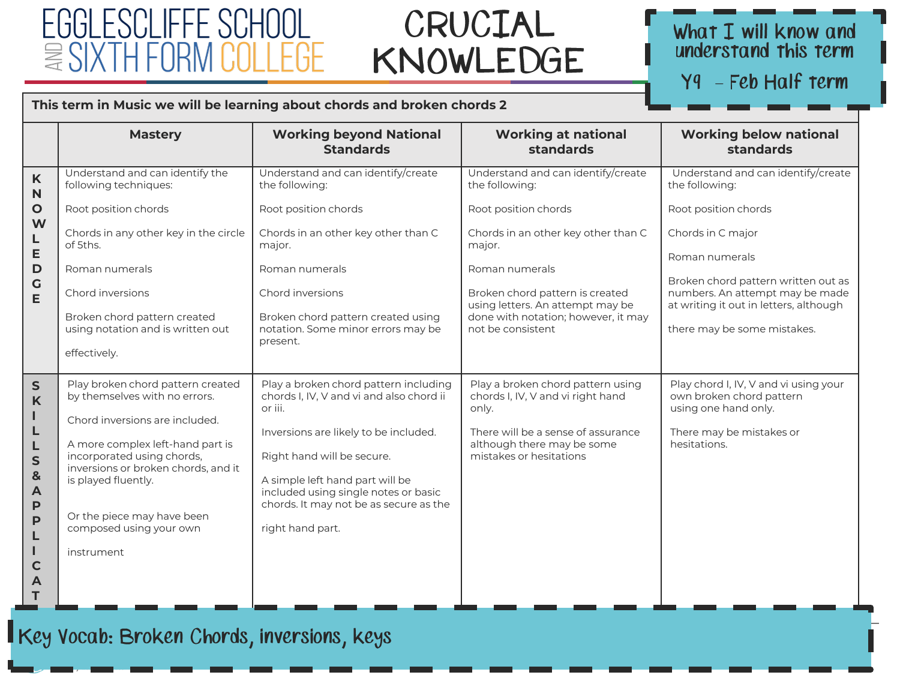### FGGI FSCI IFFF SCHOOL  $\cong$ SI

### CRUCIAL KNOWLEDGE

# What I will know and<br>understand this term

Y9 - Feb Half term

hello@egglescliffe.org.uk

#### **This term in Music we will be learning about chords and broken chords 2**

|                        | <b>Mastery</b>                                                                                        | <b>Working beyond National</b><br><b>Standards</b>                                                                | <b>Working at national</b><br>standards                                                                    | <b>Working below national</b><br>standards                                                                       |
|------------------------|-------------------------------------------------------------------------------------------------------|-------------------------------------------------------------------------------------------------------------------|------------------------------------------------------------------------------------------------------------|------------------------------------------------------------------------------------------------------------------|
| K<br>$\mathsf{N}$      | Understand and can identify the<br>following techniques:                                              | Understand and can identify/create<br>the following:                                                              | Understand and can identify/create<br>the following:                                                       | Understand and can identify/create<br>the following:                                                             |
| $\mathbf{o}$           | Root position chords                                                                                  | Root position chords                                                                                              | Root position chords                                                                                       | Root position chords                                                                                             |
| W<br>L                 | Chords in any other key in the circle<br>of 5ths.                                                     | Chords in an other key other than C<br>major.                                                                     | Chords in an other key other than C<br>major.                                                              | Chords in C major                                                                                                |
| E<br>D                 | Roman numerals                                                                                        | Roman numerals                                                                                                    | Roman numerals                                                                                             | Roman numerals                                                                                                   |
| $\mathbf G$<br>E       | Chord inversions<br>Broken chord pattern created                                                      | Chord inversions<br>Broken chord pattern created using                                                            | Broken chord pattern is created<br>using letters. An attempt may be<br>done with notation; however, it may | Broken chord pattern written out as<br>numbers. An attempt may be made<br>at writing it out in letters, although |
|                        | using notation and is written out                                                                     | notation. Some minor errors may be<br>present.                                                                    | not be consistent                                                                                          | there may be some mistakes.                                                                                      |
|                        | effectively.                                                                                          |                                                                                                                   |                                                                                                            |                                                                                                                  |
| $\mathsf{s}$<br>K      | Play broken chord pattern created<br>by themselves with no errors.                                    | Play a broken chord pattern including<br>chords I, IV, V and vi and also chord ii<br>or iii.                      | Play a broken chord pattern using<br>chords I, IV, V and vi right hand<br>only.                            | Play chord I, IV, V and vi using your<br>own broken chord pattern<br>using one hand only.                        |
| L<br>L                 | Chord inversions are included.                                                                        | Inversions are likely to be included.                                                                             | There will be a sense of assurance                                                                         | There may be mistakes or                                                                                         |
| L<br>$\mathsf{s}$<br>& | A more complex left-hand part is<br>incorporated using chords,<br>inversions or broken chords, and it | Right hand will be secure.                                                                                        | although there may be some<br>mistakes or hesitations                                                      | hesitations.                                                                                                     |
| $\blacktriangle$<br>P  | is played fluently.                                                                                   | A simple left hand part will be<br>included using single notes or basic<br>chords. It may not be as secure as the |                                                                                                            |                                                                                                                  |
| P<br>L                 | Or the piece may have been<br>composed using your own                                                 | right hand part.                                                                                                  |                                                                                                            |                                                                                                                  |
| U.<br>$\mathbf C$      | instrument                                                                                            |                                                                                                                   |                                                                                                            |                                                                                                                  |
| A<br>т                 |                                                                                                       |                                                                                                                   |                                                                                                            |                                                                                                                  |

**O N**

**I**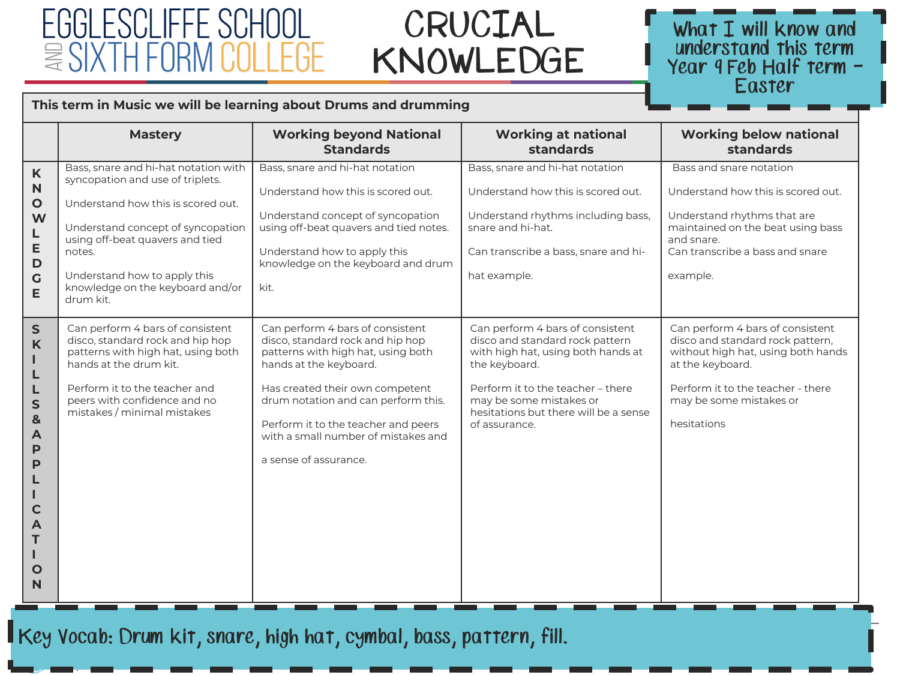### FGGI FSCI IFFF SCHOOL  $\geq$  SIX I

### CRUCIAL KNOWLEDGE



hello@egglescliffe.org.uk

#### **This term in Music we will be learning about Drums and drumming**

|                                                                                                     | <b>Mastery</b>                                                                                                                                                                                                                                                                    | <b>Working beyond National</b><br><b>Standards</b>                                                                                                                                                                                                                                                                    | <b>Working at national</b><br>standards                                                                                                                                                                                                              | <b>Working below national</b><br>standards                                                                                                                                                                    |
|-----------------------------------------------------------------------------------------------------|-----------------------------------------------------------------------------------------------------------------------------------------------------------------------------------------------------------------------------------------------------------------------------------|-----------------------------------------------------------------------------------------------------------------------------------------------------------------------------------------------------------------------------------------------------------------------------------------------------------------------|------------------------------------------------------------------------------------------------------------------------------------------------------------------------------------------------------------------------------------------------------|---------------------------------------------------------------------------------------------------------------------------------------------------------------------------------------------------------------|
| $\mathsf K$<br>N<br>$\mathbf{o}$<br>W<br>L<br>E<br>D<br>G<br>E                                      | Bass, snare and hi-hat notation with<br>syncopation and use of triplets.<br>Understand how this is scored out.<br>Understand concept of syncopation<br>using off-beat quavers and tied<br>notes.<br>Understand how to apply this<br>knowledge on the keyboard and/or<br>drum kit. | Bass, snare and hi-hat notation<br>Understand how this is scored out.<br>Understand concept of syncopation<br>using off-beat quavers and tied notes.<br>Understand how to apply this<br>knowledge on the keyboard and drum<br>kit.                                                                                    | Bass, snare and hi-hat notation<br>Understand how this is scored out.<br>Understand rhythms including bass,<br>snare and hi-hat.<br>Can transcribe a bass, snare and hi-<br>hat example.                                                             | Bass and snare notation<br>Understand how this is scored out.<br>Understand rhythms that are<br>maintained on the beat using bass<br>and snare.<br>Can transcribe a bass and snare<br>example.                |
| $\mathsf{S}$<br>K<br>ı<br>L<br>L<br>S<br>$\mathbf{8}$<br>A<br>P<br>P<br>ц<br>C<br>A<br>J.<br>O<br>N | Can perform 4 bars of consistent<br>disco, standard rock and hip hop<br>patterns with high hat, using both<br>hands at the drum kit.<br>Perform it to the teacher and<br>peers with confidence and no<br>mistakes / minimal mistakes                                              | Can perform 4 bars of consistent<br>disco, standard rock and hip hop<br>patterns with high hat, using both<br>hands at the keyboard.<br>Has created their own competent<br>drum notation and can perform this.<br>Perform it to the teacher and peers<br>with a small number of mistakes and<br>a sense of assurance. | Can perform 4 bars of consistent<br>disco and standard rock pattern<br>with high hat, using both hands at<br>the keyboard.<br>Perform it to the teacher - there<br>may be some mistakes or<br>hesitations but there will be a sense<br>of assurance. | Can perform 4 bars of consistent<br>disco and standard rock pattern,<br>without high hat, using both hands<br>at the keyboard.<br>Perform it to the teacher - there<br>may be some mistakes or<br>hesitations |

Key Vocab: Drum Kit, snare, high hat, cymbal, bass, pattern, fill.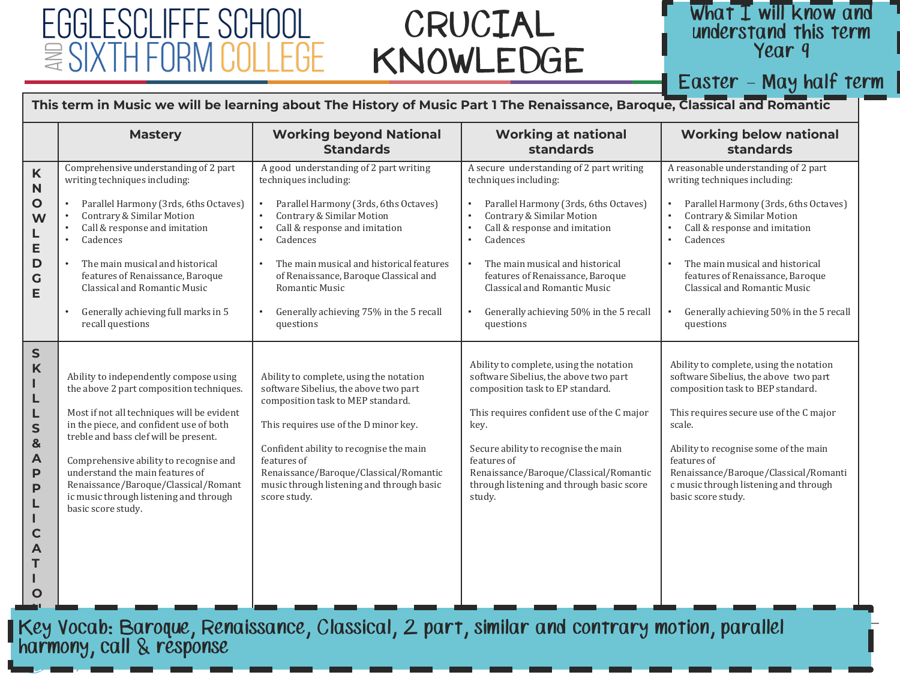### CRUCIAL KNOWLEDGE



### Easter - May half term

#### **This term in Music we will be learning about The History of Music Part 1 The Renaissance, Baroque, Classical and Romantic**

|                                                                                      | <b>Mastery</b>                                                                                                                                                                                                                                                                                                                                                                                            | <b>Working beyond National</b><br><b>Standards</b>                                                                                                                                                                                                                                                                                                             | <b>Working at national</b><br>standards                                                                                                                                                                                                                                                                                                                          | <b>Working below national</b><br>standards                                                                                                                                                                                                                                                                                                                           |
|--------------------------------------------------------------------------------------|-----------------------------------------------------------------------------------------------------------------------------------------------------------------------------------------------------------------------------------------------------------------------------------------------------------------------------------------------------------------------------------------------------------|----------------------------------------------------------------------------------------------------------------------------------------------------------------------------------------------------------------------------------------------------------------------------------------------------------------------------------------------------------------|------------------------------------------------------------------------------------------------------------------------------------------------------------------------------------------------------------------------------------------------------------------------------------------------------------------------------------------------------------------|----------------------------------------------------------------------------------------------------------------------------------------------------------------------------------------------------------------------------------------------------------------------------------------------------------------------------------------------------------------------|
| K<br>N<br>O<br>W<br>L<br>E<br>D<br>G<br>E                                            | Comprehensive understanding of 2 part<br>writing techniques including:<br>Parallel Harmony (3rds, 6ths Octaves)<br>Contrary & Similar Motion<br>Call & response and imitation<br>Cadences<br>The main musical and historical<br>features of Renaissance, Baroque<br>Classical and Romantic Music<br>Generally achieving full marks in 5<br>recall questions                                               | A good understanding of 2 part writing<br>techniques including:<br>Parallel Harmony (3rds, 6ths Octaves)<br>Contrary & Similar Motion<br>Call & response and imitation<br>Cadences<br>The main musical and historical features<br>$\bullet$<br>of Renaissance, Baroque Classical and<br>Romantic Music<br>Generally achieving 75% in the 5 recall<br>questions | A secure understanding of 2 part writing<br>techniques including:<br>Parallel Harmony (3rds, 6ths Octaves)<br>Contrary & Similar Motion<br>Call & response and imitation<br>Cadences<br>$\bullet$<br>The main musical and historical<br>features of Renaissance, Baroque<br>Classical and Romantic Music<br>Generally achieving 50% in the 5 recall<br>questions | A reasonable understanding of 2 part<br>writing techniques including:<br>Parallel Harmony (3rds, 6ths Octaves)<br>Contrary & Similar Motion<br>Call & response and imitation<br>Cadences<br>$\bullet$<br>The main musical and historical<br>features of Renaissance, Baroque<br>Classical and Romantic Music<br>Generally achieving 50% in the 5 recall<br>questions |
| ${\sf S}$<br>K<br>L<br>L<br>S<br>&<br>A<br>P<br>P<br>L<br>$\mathbf C$<br>Α<br>Т<br>О | Ability to independently compose using<br>the above 2 part composition techniques.<br>Most if not all techniques will be evident<br>in the piece, and confident use of both<br>treble and bass clef will be present.<br>Comprehensive ability to recognise and<br>understand the main features of<br>Renaissance/Baroque/Classical/Romant<br>ic music through listening and through<br>basic score study. | Ability to complete, using the notation<br>software Sibelius, the above two part<br>composition task to MEP standard.<br>This requires use of the D minor key.<br>Confident ability to recognise the main<br>features of<br>Renaissance/Baroque/Classical/Romantic<br>music through listening and through basic<br>score study.                                | Ability to complete, using the notation<br>software Sibelius, the above two part<br>composition task to EP standard.<br>This requires confident use of the C major<br>key.<br>Secure ability to recognise the main<br>features of<br>Renaissance/Baroque/Classical/Romantic<br>through listening and through basic score<br>study.                               | Ability to complete, using the notation<br>software Sibelius, the above two part<br>composition task to BEP standard.<br>This requires secure use of the C major<br>scale.<br>Ability to recognise some of the main<br>features of<br>Renaissance/Baroque/Classical/Romanti<br>c music through listening and through<br>basic score study.                           |

hellow and the control of the control of the control of the control of the control of the control of the control of the control of the control of the control of the control of the control of the control of the control of t